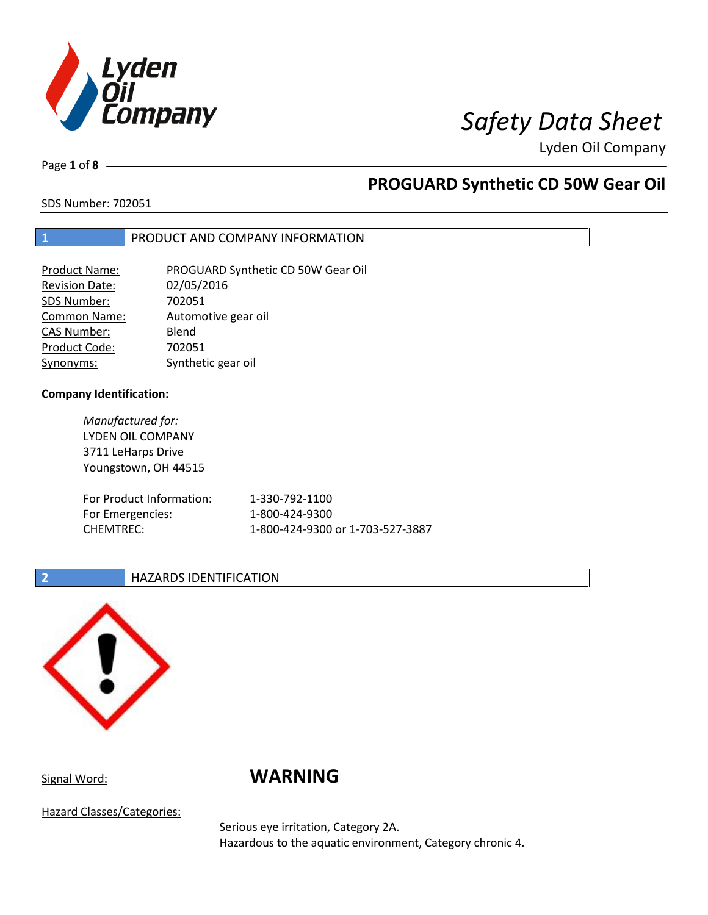

Page **1** of **8**

## **PROGUARD Synthetic CD 50W Gear Oil**

SDS Number: 702051

## **1** PRODUCT AND COMPANY INFORMATION

| <b>Product Name:</b>  | PROGUARD Synthetic CD 50W Gear Oil |
|-----------------------|------------------------------------|
| <b>Revision Date:</b> | 02/05/2016                         |
| SDS Number:           | 702051                             |
| <b>Common Name:</b>   | Automotive gear oil                |
| <b>CAS Number:</b>    | Blend                              |
| Product Code:         | 702051                             |
| Synonyms:             | Synthetic gear oil                 |

### **Company Identification:**

*Manufactured for:* LYDEN OIL COMPANY 3711 LeHarps Drive Youngstown, OH 44515

| For Product Information: | 1-330-792-1100                   |
|--------------------------|----------------------------------|
| For Emergencies:         | 1-800-424-9300                   |
| CHEMTREC:                | 1-800-424-9300 or 1-703-527-3887 |

## **2 HAZARDS IDENTIFICATION**



## Signal Word: **WARNING**

Hazard Classes/Categories:

Serious eye irritation, Category 2A. Hazardous to the aquatic environment, Category chronic 4.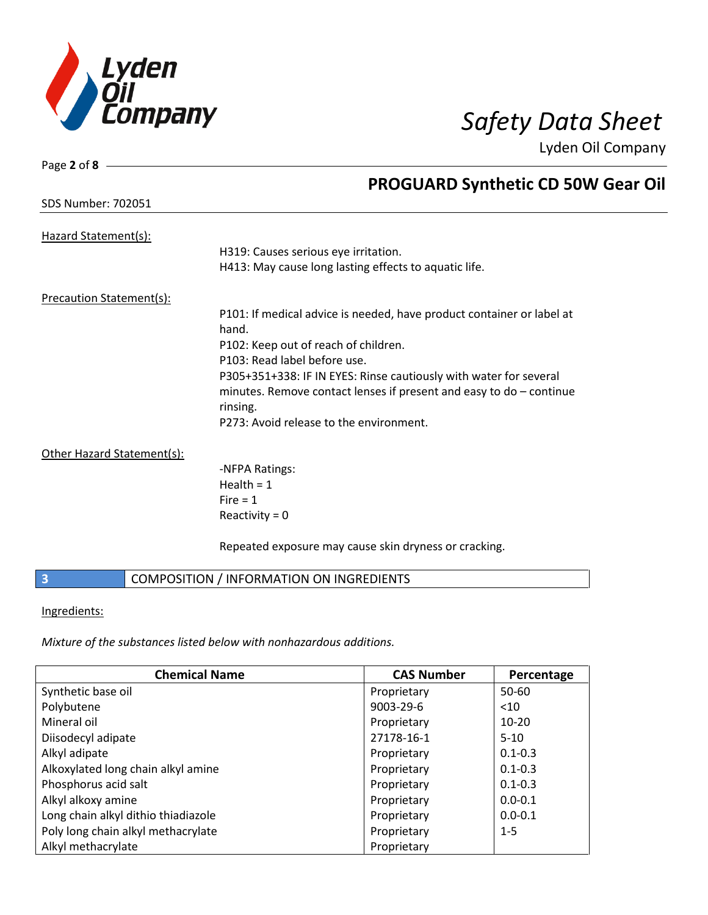

| Page 2 of $8 -$           |                                                                       |
|---------------------------|-----------------------------------------------------------------------|
|                           | <b>PROGUARD Synthetic CD 50W Gear Oil</b>                             |
| <b>SDS Number: 702051</b> |                                                                       |
| Hazard Statement(s):      |                                                                       |
|                           | H319: Causes serious eye irritation.                                  |
|                           | H413: May cause long lasting effects to aquatic life.                 |
| Precaution Statement(s):  |                                                                       |
|                           | P101: If medical advice is needed, have product container or label at |
|                           | hand.                                                                 |
|                           | P102: Keep out of reach of children.                                  |
|                           | P103: Read label before use.                                          |
|                           | P305+351+338: IF IN EYES: Rinse cautiously with water for several     |
|                           | minutes. Remove contact lenses if present and easy to $do$ – continue |
|                           | rinsing.                                                              |
|                           | P273: Avoid release to the environment.                               |
|                           |                                                                       |

Other Hazard Statement(s):

-NFPA Ratings: Health  $= 1$  $Fire = 1$ Reactivity  $= 0$ 

Repeated exposure may cause skin dryness or cracking.

### **3** COMPOSITION / INFORMATION ON INGREDIENTS

Ingredients:

*Mixture of the substances listed below with nonhazardous additions.*

| <b>Chemical Name</b>                | <b>CAS Number</b> | Percentage  |
|-------------------------------------|-------------------|-------------|
| Synthetic base oil                  | Proprietary       | 50-60       |
| Polybutene                          | 9003-29-6         | $10$        |
| Mineral oil                         | Proprietary       | $10 - 20$   |
| Diisodecyl adipate                  | 27178-16-1        | $5 - 10$    |
| Alkyl adipate                       | Proprietary       | $0.1 - 0.3$ |
| Alkoxylated long chain alkyl amine  | Proprietary       | $0.1 - 0.3$ |
| Phosphorus acid salt                | Proprietary       | $0.1 - 0.3$ |
| Alkyl alkoxy amine                  | Proprietary       | $0.0 - 0.1$ |
| Long chain alkyl dithio thiadiazole | Proprietary       | $0.0 - 0.1$ |
| Poly long chain alkyl methacrylate  | Proprietary       | $1 - 5$     |
| Alkyl methacrylate                  | Proprietary       |             |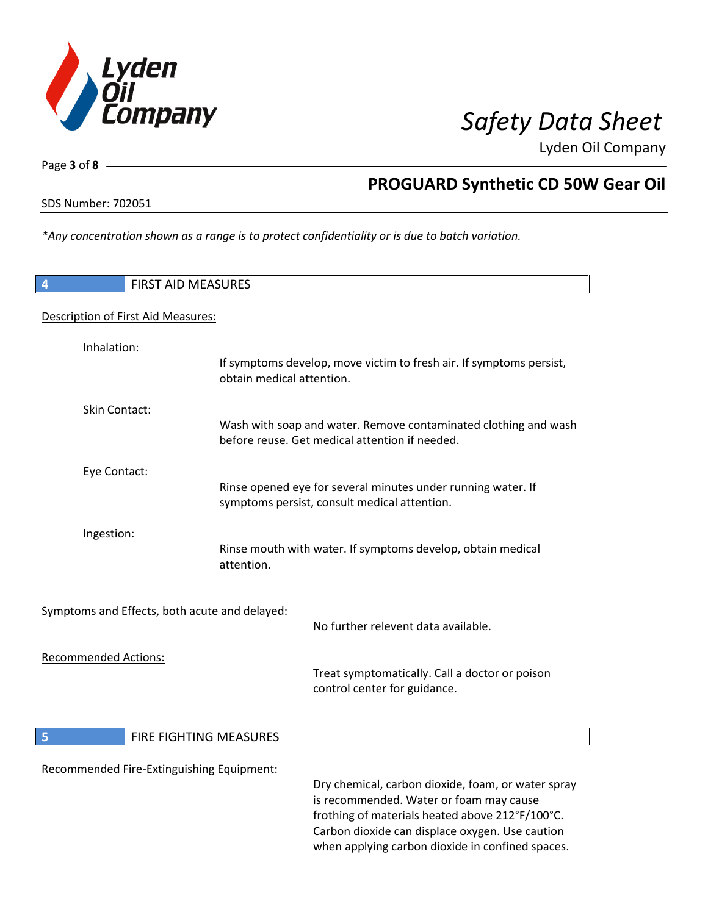

Page **3** of **8**

## **PROGUARD Synthetic CD 50W Gear Oil**

SDS Number: 702051

*\*Any concentration shown as a range is to protect confidentiality or is due to batch variation.*

| $\overline{4}$              | <b>FIRST AID MEASURES</b>                     |                                                                                                                   |
|-----------------------------|-----------------------------------------------|-------------------------------------------------------------------------------------------------------------------|
|                             | Description of First Aid Measures:            |                                                                                                                   |
| Inhalation:                 | obtain medical attention.                     | If symptoms develop, move victim to fresh air. If symptoms persist,                                               |
| Skin Contact:               |                                               | Wash with soap and water. Remove contaminated clothing and wash<br>before reuse. Get medical attention if needed. |
| Eye Contact:                |                                               | Rinse opened eye for several minutes under running water. If<br>symptoms persist, consult medical attention.      |
| Ingestion:                  | attention.                                    | Rinse mouth with water. If symptoms develop, obtain medical                                                       |
|                             | Symptoms and Effects, both acute and delayed: | No further relevent data available.                                                                               |
| <b>Recommended Actions:</b> |                                               | Treat symptomatically. Call a doctor or poison<br>control center for guidance.                                    |
| 5                           | FIRE FIGHTING MEASURES                        |                                                                                                                   |
|                             | Recommended Fire-Extinguishing Equipment:     | Dry chemical, carbon dioxide, foam, or water spray                                                                |

is recommended. Water or foam may cause frothing of materials heated above 212°F/100°C. Carbon dioxide can displace oxygen. Use caution when applying carbon dioxide in confined spaces.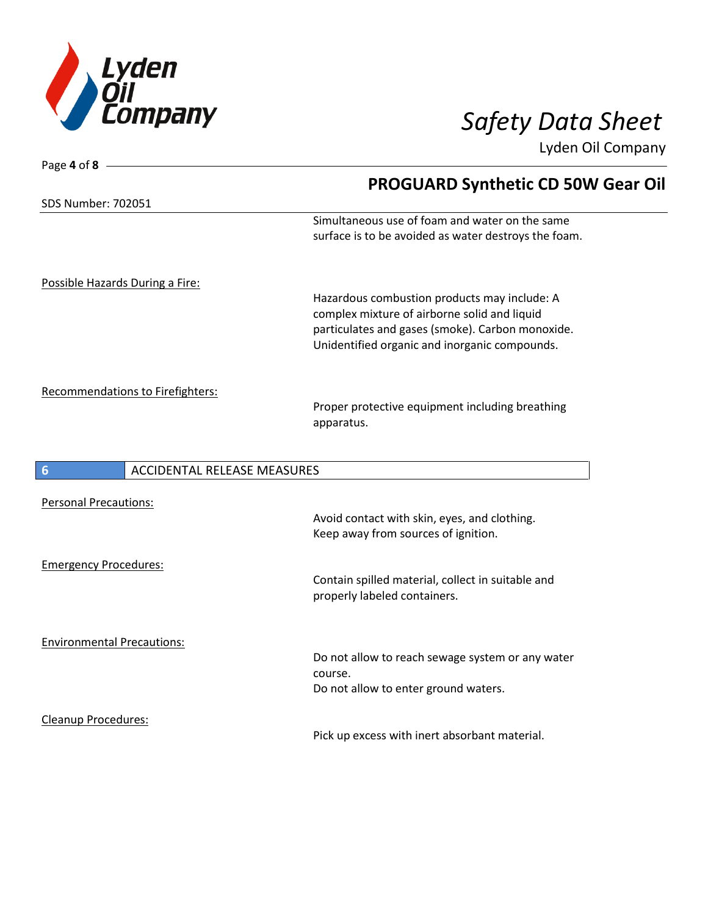

| Page 4 of $8 -$                                |                                                                                                        |
|------------------------------------------------|--------------------------------------------------------------------------------------------------------|
|                                                | <b>PROGUARD Synthetic CD 50W Gear Oil</b>                                                              |
| SDS Number: 702051                             |                                                                                                        |
|                                                | Simultaneous use of foam and water on the same<br>surface is to be avoided as water destroys the foam. |
| Possible Hazards During a Fire:                |                                                                                                        |
|                                                | Hazardous combustion products may include: A                                                           |
|                                                | complex mixture of airborne solid and liquid                                                           |
|                                                | particulates and gases (smoke). Carbon monoxide.                                                       |
|                                                | Unidentified organic and inorganic compounds.                                                          |
| Recommendations to Firefighters:               | Proper protective equipment including breathing<br>apparatus.                                          |
| $6\phantom{1}6$<br>ACCIDENTAL RELEASE MEASURES |                                                                                                        |
| <b>Personal Precautions:</b>                   |                                                                                                        |
|                                                | Avoid contact with skin, eyes, and clothing.                                                           |
|                                                | Keep away from sources of ignition.                                                                    |
| <b>Emergency Procedures:</b>                   |                                                                                                        |
|                                                | Contain spilled material, collect in suitable and                                                      |
|                                                | properly labeled containers.                                                                           |
| <b>Environmental Precautions:</b>              |                                                                                                        |
|                                                | Do not allow to reach sewage system or any water                                                       |
|                                                | course.                                                                                                |
|                                                | Do not allow to enter ground waters.                                                                   |
| Cleanup Procedures:                            |                                                                                                        |
|                                                | Pick up excess with inert absorbant material.                                                          |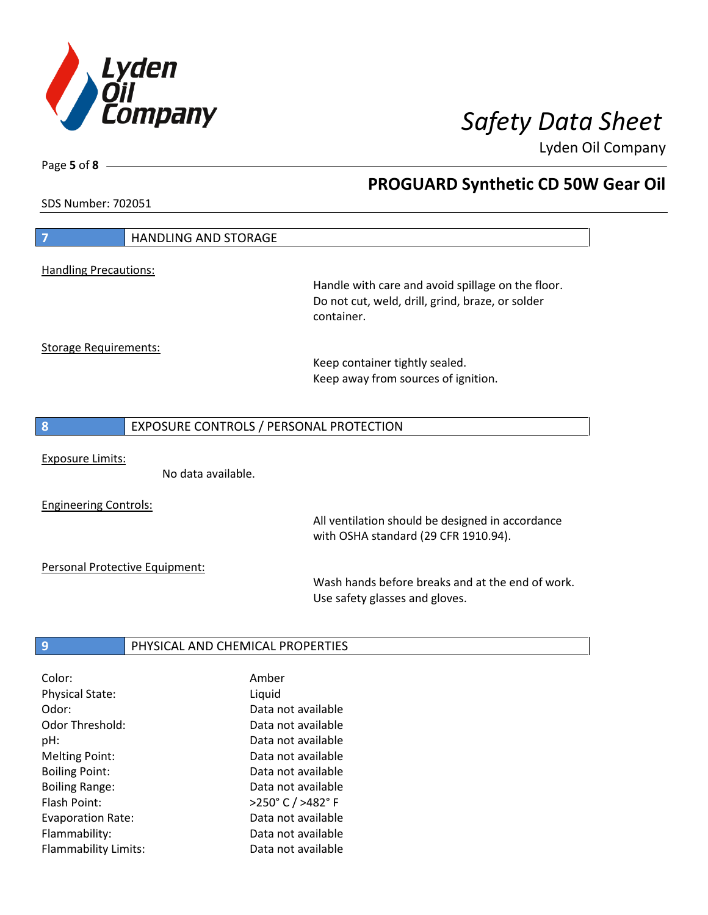

Melting Point: Case Communication and Data not available Boiling Point: Case Communication of a Data not available Boiling Range: The Communication of Data not available Flash Point: >250° C / >482° F Evaporation Rate: Data not available Flammability: Data not available Flammability Limits: Data not available

**PROGUARD Synthetic CD 50W Gear Oil**

Lyden Oil Company

SDS Number: 702051

Page **5** of **8**

 $\overline{\phantom{a}}$ 

| $\overline{7}$                 | <b>HANDLING AND STORAGE</b>      |                                                                |
|--------------------------------|----------------------------------|----------------------------------------------------------------|
|                                |                                  |                                                                |
| <b>Handling Precautions:</b>   |                                  |                                                                |
|                                |                                  | Handle with care and avoid spillage on the floor.              |
|                                |                                  | Do not cut, weld, drill, grind, braze, or solder<br>container. |
|                                |                                  |                                                                |
| <b>Storage Requirements:</b>   |                                  |                                                                |
|                                |                                  | Keep container tightly sealed.                                 |
|                                |                                  | Keep away from sources of ignition.                            |
|                                |                                  |                                                                |
|                                |                                  |                                                                |
| 8                              |                                  | EXPOSURE CONTROLS / PERSONAL PROTECTION                        |
|                                |                                  |                                                                |
| <b>Exposure Limits:</b>        |                                  |                                                                |
|                                | No data available.               |                                                                |
| <b>Engineering Controls:</b>   |                                  |                                                                |
|                                |                                  | All ventilation should be designed in accordance               |
|                                |                                  | with OSHA standard (29 CFR 1910.94).                           |
|                                |                                  |                                                                |
| Personal Protective Equipment: |                                  |                                                                |
|                                |                                  | Wash hands before breaks and at the end of work.               |
|                                |                                  | Use safety glasses and gloves.                                 |
|                                |                                  |                                                                |
|                                |                                  |                                                                |
| 9                              | PHYSICAL AND CHEMICAL PROPERTIES |                                                                |
| Color:                         |                                  | Amber                                                          |
| Physical State:                |                                  | Liquid                                                         |
| Odor:                          |                                  | Data not available                                             |
| Odor Threshold:                |                                  | Data not available                                             |
| pH:                            |                                  | Data not available                                             |
|                                |                                  |                                                                |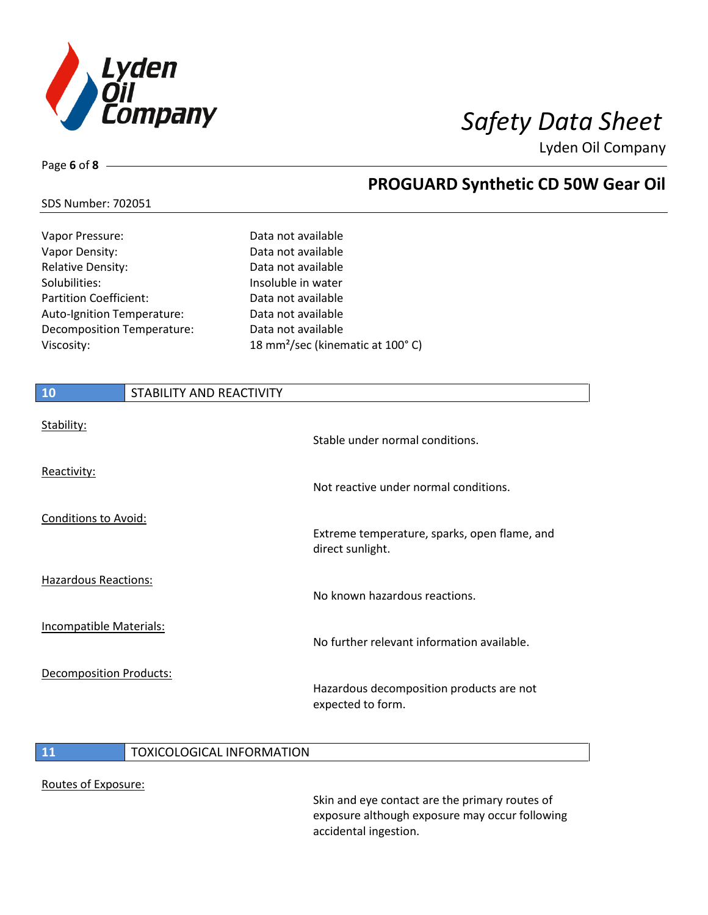

# Page **6** of **8**

I

## **PROGUARD Synthetic CD 50W Gear Oil**

### SDS Number: 702051

| Vapor Pressure:                   | Data not available                           |
|-----------------------------------|----------------------------------------------|
| Vapor Density:                    | Data not available                           |
| <b>Relative Density:</b>          | Data not available                           |
| Solubilities:                     | Insoluble in water                           |
| <b>Partition Coefficient:</b>     | Data not available                           |
| Auto-Ignition Temperature:        | Data not available                           |
| <b>Decomposition Temperature:</b> | Data not available                           |
| Viscosity:                        | 18 mm <sup>2</sup> /sec (kinematic at 100°C) |

| 10                             | STABILITY AND REACTIVITY |                                                                  |
|--------------------------------|--------------------------|------------------------------------------------------------------|
| Stability:                     |                          | Stable under normal conditions.                                  |
| Reactivity:                    |                          | Not reactive under normal conditions.                            |
| <b>Conditions to Avoid:</b>    |                          | Extreme temperature, sparks, open flame, and<br>direct sunlight. |
| <b>Hazardous Reactions:</b>    |                          | No known hazardous reactions.                                    |
| <b>Incompatible Materials:</b> |                          | No further relevant information available.                       |
| <b>Decomposition Products:</b> |                          | Hazardous decomposition products are not<br>expected to form.    |

### **11** TOXICOLOGICAL INFORMATION

### Routes of Exposure:

Skin and eye contact are the primary routes of exposure although exposure may occur following accidental ingestion.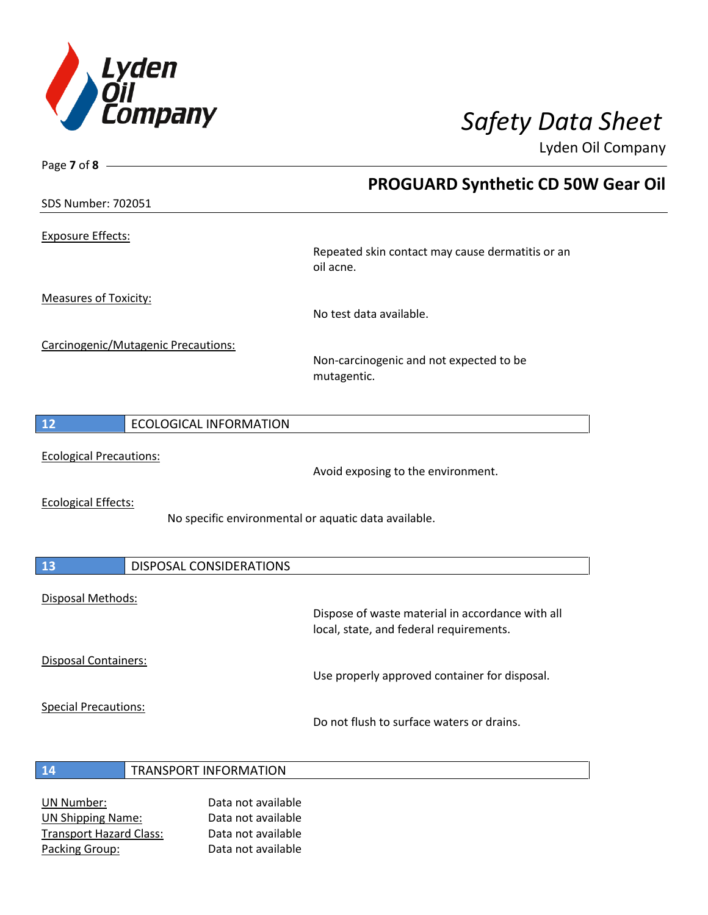

Page **7** of **8**

Lyden Oil Company

|                                           | <b>PROGUARD Synthetic CD 50W Gear Oil</b>                                                   |
|-------------------------------------------|---------------------------------------------------------------------------------------------|
| <b>SDS Number: 702051</b>                 |                                                                                             |
| <b>Exposure Effects:</b>                  | Repeated skin contact may cause dermatitis or an<br>oil acne.                               |
| <b>Measures of Toxicity:</b>              | No test data available.                                                                     |
| Carcinogenic/Mutagenic Precautions:       | Non-carcinogenic and not expected to be<br>mutagentic.                                      |
| 12<br><b>ECOLOGICAL INFORMATION</b>       |                                                                                             |
| <b>Ecological Precautions:</b>            | Avoid exposing to the environment.                                                          |
| <b>Ecological Effects:</b>                | No specific environmental or aquatic data available.                                        |
| <b>DISPOSAL CONSIDERATIONS</b><br>13      |                                                                                             |
| Disposal Methods:                         | Dispose of waste material in accordance with all<br>local, state, and federal requirements. |
| Disposal Containers:                      | Use properly approved container for disposal.                                               |
| <b>Special Precautions:</b>               | Do not flush to surface waters or drains.                                                   |
| <b>TRANSPORT INFORMATION</b><br><b>14</b> |                                                                                             |

UN Number: Data not available UN Shipping Name: Data not available Transport Hazard Class: Data not available Packing Group: Data not available